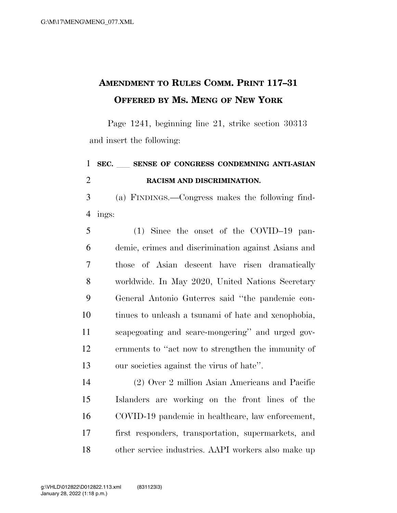## **AMENDMENT TO RULES COMM. PRINT 117–31 OFFERED BY MS. MENG OF NEW YORK**

Page 1241, beginning line 21, strike section 30313 and insert the following:

## **SEC.** ll **SENSE OF CONGRESS CONDEMNING ANTI-ASIAN RACISM AND DISCRIMINATION.**

 (a) FINDINGS.—Congress makes the following find-ings:

 (1) Since the onset of the COVID–19 pan- demic, crimes and discrimination against Asians and those of Asian descent have risen dramatically worldwide. In May 2020, United Nations Secretary General Antonio Guterres said ''the pandemic con- tinues to unleash a tsunami of hate and xenophobia, scapegoating and scare-mongering'' and urged gov- ernments to ''act now to strengthen the immunity of our societies against the virus of hate''.

 (2) Over 2 million Asian Americans and Pacific Islanders are working on the front lines of the COVID-19 pandemic in healthcare, law enforcement, first responders, transportation, supermarkets, and other service industries. AAPI workers also make up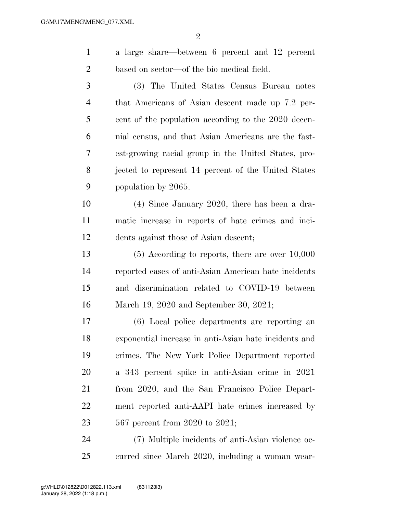| $\mathbf{1}$   | a large share—between 6 percent and 12 percent        |
|----------------|-------------------------------------------------------|
| $\overline{2}$ | based on sector—of the bio medical field.             |
| 3              | (3) The United States Census Bureau notes             |
| $\overline{4}$ | that Americans of Asian descent made up 7.2 per-      |
| 5              | cent of the population according to the 2020 decen-   |
| 6              | nial census, and that Asian Americans are the fast-   |
| 7              | est-growing racial group in the United States, pro-   |
| 8              | jected to represent 14 percent of the United States   |
| 9              | population by 2065.                                   |
| 10             | $(4)$ Since January 2020, there has been a dra-       |
| 11             | matic increase in reports of hate crimes and inci-    |
| 12             | dents against those of Asian descent;                 |
| 13             | $(5)$ According to reports, there are over $10,000$   |
| 14             | reported cases of anti-Asian American hate incidents  |
| 15             | and discrimination related to COVID-19 between        |
| 16             | March 19, 2020 and September 30, 2021;                |
| 17             | (6) Local police departments are reporting an         |
| 18             | exponential increase in anti-Asian hate incidents and |
| 19             | crimes. The New York Police Department reported       |
| 20             | a 343 percent spike in anti-Asian crime in 2021       |
| 21             | from 2020, and the San Francisco Police Depart-       |
| 22             | ment reported anti-AAPI hate crimes increased by      |
| 23             | 567 percent from 2020 to 2021;                        |
| 24             | (7) Multiple incidents of anti-Asian violence oc-     |
| 25             | curred since March 2020, including a woman wear-      |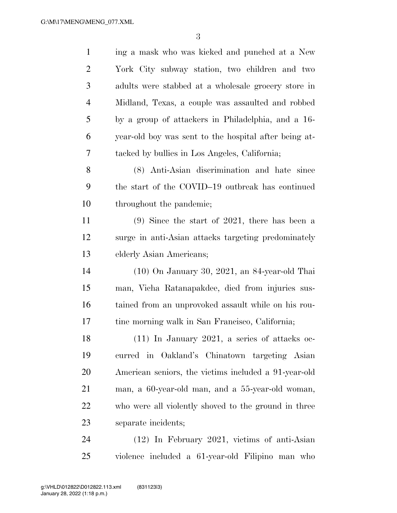| $\mathbf{1}$   | ing a mask who was kicked and punched at a New        |
|----------------|-------------------------------------------------------|
| $\overline{2}$ | York City subway station, two children and two        |
| 3              | adults were stabbed at a wholesale grocery store in   |
| $\overline{4}$ | Midland, Texas, a couple was assaulted and robbed     |
| 5              | by a group of attackers in Philadelphia, and a 16-    |
| 6              | year-old boy was sent to the hospital after being at- |
| 7              | tacked by bullies in Los Angeles, California;         |
| 8              | (8) Anti-Asian discrimination and hate since          |
| 9              | the start of the COVID-19 outbreak has continued      |
| 10             | throughout the pandemic;                              |
| 11             | $(9)$ Since the start of 2021, there has been a       |
| 12             | surge in anti-Asian attacks targeting predominately   |
| 13             | elderly Asian Americans;                              |
| 14             | $(10)$ On January 30, 2021, an 84-year-old Thai       |
| 15             | man, Vicha Ratanapakdee, died from injuries sus-      |
| 16             | tained from an unprovoked assault while on his rou-   |
| 17             | tine morning walk in San Francisco, California;       |
| 18             | $(11)$ In January 2021, a series of attacks oc-       |
| 19             | curred in Oakland's Chinatown targeting Asian         |
| 20             | American seniors, the victims included a 91-year-old  |
| 21             | man, a 60-year-old man, and a 55-year-old woman,      |
| 22             | who were all violently shoved to the ground in three  |
| 23             | separate incidents;                                   |
| 24             | $(12)$ In February 2021, victims of anti-Asian        |
|                |                                                       |

violence included a 61-year-old Filipino man who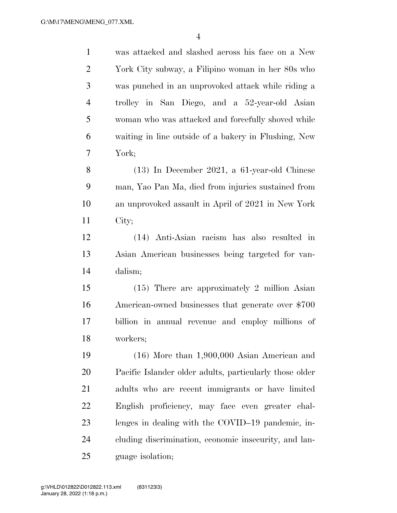| $\mathbf{1}$   | was attacked and slashed across his face on a New       |
|----------------|---------------------------------------------------------|
| $\overline{2}$ | York City subway, a Filipino woman in her 80s who       |
| 3              | was punched in an unprovoked attack while riding a      |
| 4              | trolley in San Diego, and a 52-year-old Asian           |
| 5              | woman who was attacked and forcefully shoved while      |
| 6              | waiting in line outside of a bakery in Flushing, New    |
| $\overline{7}$ | York;                                                   |
| 8              | $(13)$ In December 2021, a 61-year-old Chinese          |
| 9              | man, Yao Pan Ma, died from injuries sustained from      |
| 10             | an unprovoked assault in April of 2021 in New York      |
| 11             | City;                                                   |
| 12             | (14) Anti-Asian racism has also resulted in             |
| 13             | Asian American businesses being targeted for van-       |
| 14             | dalism;                                                 |
| 15             | $(15)$ There are approximately 2 million Asian          |
| 16             | American-owned businesses that generate over \$700      |
| 17             | billion in annual revenue and employ millions of        |
| 18             | workers;                                                |
| 19             | $(16)$ More than 1,900,000 Asian American and           |
| 20             | Pacific Islander older adults, particularly those older |
| 21             | adults who are recent immigrants or have limited        |
| 22             | English proficiency, may face even greater chal-        |
| 23             | lenges in dealing with the COVID-19 pandemic, in-       |
| 24             | cluding discrimination, economic insecurity, and lan-   |
| 25             | guage isolation;                                        |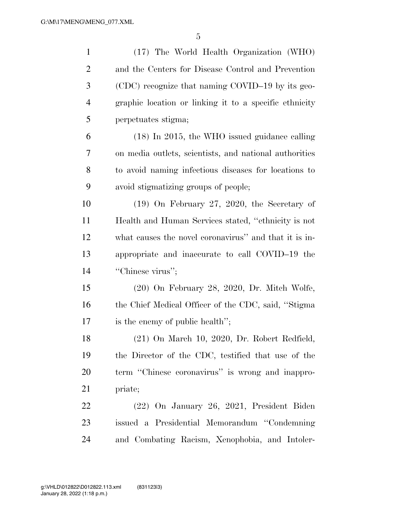| $\mathbf{1}$   | (17) The World Health Organization (WHO)               |
|----------------|--------------------------------------------------------|
| $\overline{2}$ | and the Centers for Disease Control and Prevention     |
| 3              | (CDC) recognize that naming COVID-19 by its geo-       |
| $\overline{4}$ | graphic location or linking it to a specific ethnicity |
| 5              | perpetuates stigma;                                    |
| 6              | $(18)$ In 2015, the WHO issued guidance calling        |
| 7              | on media outlets, scientists, and national authorities |
| 8              | to avoid naming infectious diseases for locations to   |
| 9              | avoid stigmatizing groups of people;                   |
| 10             | $(19)$ On February 27, 2020, the Secretary of          |
| 11             | Health and Human Services stated, "ethnicity is not    |
| 12             | what causes the novel coronavirus" and that it is in-  |
| 13             | appropriate and inaccurate to call COVID-19 the        |
| 14             | "Chinese virus";                                       |
| 15             | $(20)$ On February 28, 2020, Dr. Mitch Wolfe,          |
| 16             | the Chief Medical Officer of the CDC, said, "Stigma"   |
| 17             | is the enemy of public health";                        |
| 18             | $(21)$ On March 10, 2020, Dr. Robert Redfield,         |
| 19             | the Director of the CDC, testified that use of the     |
| 20             | term "Chinese coronavirus" is wrong and inappro-       |
| 21             | priate;                                                |
| 22             | (22) On January 26, 2021, President Biden              |
| 23             | issued a Presidential Memorandum "Condemning"          |
| 24             | and Combating Racism, Xenophobia, and Intoler-         |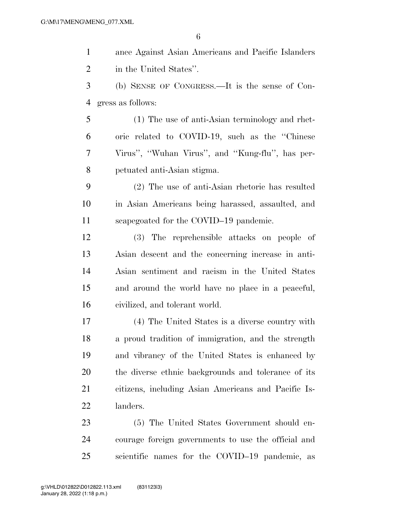| $\mathbf{1}$ | ance Against Asian Americans and Pacific Islanders  |
|--------------|-----------------------------------------------------|
| 2            | in the United States".                              |
| 3            | (b) SENSE OF CONGRESS.—It is the sense of Con-      |
| 4            | gress as follows:                                   |
| 5            | (1) The use of anti-Asian terminology and rhet-     |
| 6            | oric related to COVID-19, such as the "Chinese"     |
| 7            | Virus", "Wuhan Virus", and "Kung-flu", has per-     |
| 8            | petuated anti-Asian stigma.                         |
| 9            | (2) The use of anti-Asian rhetoric has resulted     |
| 10           | in Asian Americans being harassed, assaulted, and   |
| 11           | scapegoated for the COVID-19 pandemic.              |
| 12           | (3) The reprehensible attacks on people of          |
| 13           | Asian descent and the concerning increase in anti-  |
| 14           | Asian sentiment and racism in the United States     |
| 15           | and around the world have no place in a peaceful,   |
| 16           | civilized, and tolerant world.                      |
| $17\,$       | (4) The United States is a diverse country with     |
| 18           | a proud tradition of immigration, and the strength  |
| 19           | and vibrancy of the United States is enhanced by    |
| 20           | the diverse ethnic backgrounds and tolerance of its |
| 21           | citizens, including Asian Americans and Pacific Is- |
| 22           | landers.                                            |
| 23           | (5) The United States Government should en-         |
| 24           | courage foreign governments to use the official and |
| 25           | scientific names for the COVID-19 pandemic, as      |